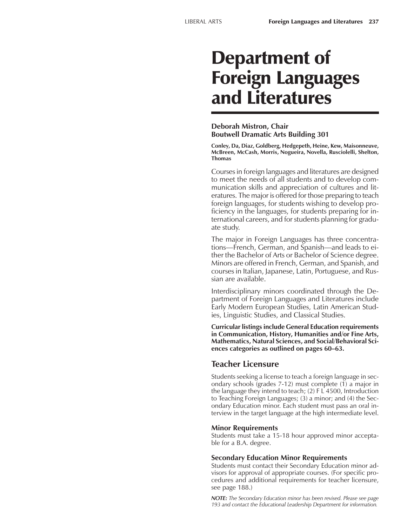# Department of Foreign Languages and Literatures

#### **Deborah Mistron, Chair Boutwell Dramatic Arts Building 301**

**Conley, Da, Diaz, Goldberg, Hedgepeth, Heine, Kew, Maisonneuve, McBreen, McCash, Morris, Nogueira, Novella, Rusciolelli, Shelton, Thomas**

Courses in foreign languages and literatures are designed to meet the needs of all students and to develop communication skills and appreciation of cultures and literatures. The major is offered for those preparing to teach foreign languages, for students wishing to develop proficiency in the languages, for students preparing for international careers, and for students planning for graduate study.

The major in Foreign Languages has three concentrations—French, German, and Spanish—and leads to either the Bachelor of Arts or Bachelor of Science degree. Minors are offered in French, German, and Spanish, and courses in Italian, Japanese, Latin, Portuguese, and Russian are available.

Interdisciplinary minors coordinated through the Department of Foreign Languages and Literatures include Early Modern European Studies, Latin American Studies, Linguistic Studies, and Classical Studies.

**Curricular listings include General Education requirements in Communication, History, Humanities and/or Fine Arts, Mathematics, Natural Sciences, and Social/Behavioral Sci**ences categories as outlined on pages 60–63.

## **Teacher Licensure**

Students seeking a license to teach a foreign language in secondary schools (grades 7-12) must complete (1) a major in the language they intend to teach; (2) F L 4500, Introduction to Teaching Foreign Languages; (3) a minor; and (4) the Secondary Education minor. Each student must pass an oral interview in the target language at the high intermediate level.

#### **Minor Requirements**

Students must take a 15-18 hour approved minor acceptable for a B.A. degree.

#### **Secondary Education Minor Requirements**

Students must contact their Secondary Education minor advisors for approval of appropriate courses. (For specific procedures and additional requirements for teacher licensure, see page 188.)

*NOTE: The Secondary Education minor has been revised. Please see page 193 and contact the Educational Leadership Department for information.*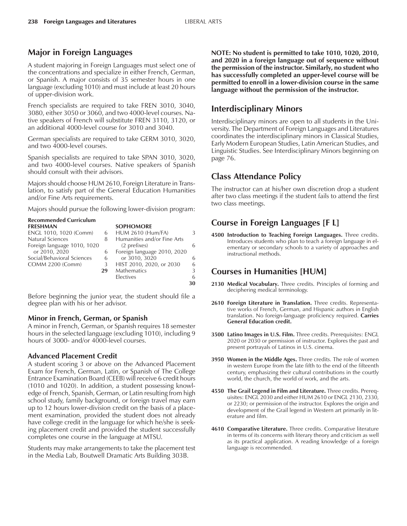# **Major in Foreign Languages**

A student majoring in Foreign Languages must select one of the concentrations and specialize in either French, German, or Spanish. A major consists of 35 semester hours in one language (excluding 1010) and must include at least 20 hours of upper-division work.

French specialists are required to take FREN 3010, 3040, 3080, either 3050 or 3060, and two 4000-level courses. Native speakers of French will substitute FREN 3110, 3120, or an additional 4000-level course for 3010 and 3040.

German specialists are required to take GERM 3010, 3020, and two 4000-level courses.

Spanish specialists are required to take SPAN 3010, 3020, and two 4000-level courses. Native speakers of Spanish should consult with their advisors.

Majors should choose HUM 2610, Foreign Literature in Translation, to satisfy part of the General Education Humanities and/or Fine Arts requirements.

Majors should pursue the following lower-division program:

| Kecommended Curriculum      |    |                             |    |
|-----------------------------|----|-----------------------------|----|
| <b>FRESHMAN</b>             |    | <b>SOPHOMORE</b>            |    |
| ENGL 1010, 1020 (Comm)      | 6  | <b>HUM 2610 (Hum/FA)</b>    |    |
| Natural Sciences            | 8  | Humanities and/or Fine Arts |    |
| Foreign language 1010, 1020 |    | (2 prefixes)                | 6  |
| or 2010, 2020               | 6  | Foreign language 2010, 2020 |    |
| Social/Behavioral Sciences  | 6  | or 3010, 3020               | 6. |
| <b>COMM 2200 (Comm)</b>     | 3  | HIST 2010, 2020, or 2030    | 6  |
|                             | 29 | <b>Mathematics</b>          | 3  |
|                             |    | <b>Electives</b>            | 6  |
|                             |    |                             | 30 |
|                             |    |                             |    |

Before beginning the junior year, the student should file a degree plan with his or her advisor.

#### **Minor in French, German, or Spanish**

A minor in French, German, or Spanish requires 18 semester hours in the selected language (excluding 1010), including 9 hours of 3000- and/or 4000-level courses.

#### **Advanced Placement Credit**

**Recommended** Curriculum

A student scoring 3 or above on the Advanced Placement Exam for French, German, Latin, or Spanish of The College Entrance Examination Board (CEEB) will receive 6 credit hours (1010 and 1020). In addition, a student possessing knowledge of French, Spanish, German, or Latin resulting from high school study, family background, or foreign travel may earn up to 12 hours lower-division credit on the basis of a placement examination, provided the student does not already have college credit in the language for which he/she is seeking placement credit and provided the student successfully completes one course in the language at MTSU.

Students may make arrangements to take the placement test in the Media Lab, Boutwell Dramatic Arts Building 303B.

**NOTE: No student is permitted to take 1010, 1020, 2010, and 2020 in a foreign language out of sequence without the permission of the instructor. Similarly, no student who has successfully completed an upper-level course will be permitted to enroll in a lower-division course in the same language without the permission of the instructor.**

# **Interdisciplinary Minors**

Interdisciplinary minors are open to all students in the University. The Department of Foreign Languages and Literatures coordinates the interdisciplinary minors in Classical Studies, Early Modern European Studies, Latin American Studies, and Linguistic Studies. See Interdisciplinary Minors beginning on page 76.

# **Class Attendance Policy**

The instructor can at his/her own discretion drop a student after two class meetings if the student fails to attend the first two class meetings.

# **Course in Foreign Languages [F L]**

**4500 Introduction to Teaching Foreign Languages.** Three credits. Introduces students who plan to teach a foreign language in elementary or secondary schools to a variety of approaches and instructional methods.

# **Courses in Humanities [HUM]**

- **2130 Medical Vocabulary.** Three credits. Principles of forming and deciphering medical terminology.
- **2610 Foreign Literature in Translation.** Three credits. Representative works of French, German, and Hispanic authors in English translation. No foreign-language proficiency required. **Carries General Education credit.**
- **3500 Latino Images in U.S. Film.** Three credits. Prerequisites: ENGL 2020 or 2030 or permission of instructor. Explores the past and present portrayals of Latinos in U.S. cinema.
- **3950 Women in the Middle Ages.** Three credits. The role of women in western Europe from the late fifth to the end of the fifteenth century, emphasizing their cultural contributions in the courtly world, the church, the world of work, and the arts.
- **4550 The Grail Legend in Film and Literature.** Three credits. Prerequisites: ENGL 2030 and either HUM 2610 or ENGL 2130, 2330, or 2230; or permission of the instructor. Explores the origin and development of the Grail legend in Western art primarily in literature and film.
- **4610 Comparative Literature.** Three credits. Comparative literature in terms of its concerns with literary theory and criticism as well as its practical application. A reading knowledge of a foreign language is recommended.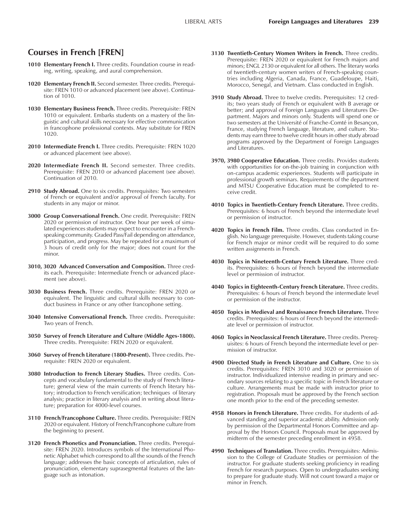## **Courses in French [FREN]**

- 1010 **Elementary French I.** Three credits. Foundation course in reading, writing, speaking, and aural comprehension.
- **1020 Elementary French II.** Second semester. Three credits. Prerequisite: FREN 1010 or advanced placement (see above). Continuation of 1010.
- **1030 Elementary Business French.** Three credits. Prerequisite: FREN 1010 or equivalent. Embarks students on a mastery of the linguistic and cultural skills necessary for effective communication in francophone professional contexts. May substitute for FREN 1020.
- **2010 Intermediate French I.** Three credits. Prerequisite: FREN 1020 or advanced placement (see above).
- **2020 Intermediate French II.** Second semester. Three credits. Prerequisite: FREN 2010 or advanced placement (see above). Continuation of 2010.
- 2910 Study Abroad. One to six credits. Prerequisites: Two semesters of French or equivalent and/or approval of French faculty. For students in any major or minor.
- **3000 Group Conversational French.** One credit. Prerequisite: FREN 2020 or permission of instructor. One hour per week of simulated experiences students may expect to encounter in a Frenchspeaking community. Graded Pass/Fail depending on attendance, participation, and progress. May be repeated for a maximum of 3 hours of credit only for the major; does not count for the minor.
- **3010, 3020 Advanced Conversation and Composition.** Three credits each. Prerequisite: Intermediate French or advanced placement (see above).
- **3030 Business French.** Three credits. Prerequisite: FREN 2020 or equivalent. The linguistic and cultural skills necessary to conduct business in France or any other francophone setting.
- **3040 Intensive Conversational French.** Three credits. Prerequisite: Two years of French.
- **3050 Survey of French Literature and Culture (Middle Ages-1800).** Three credits. Prerequisite: FREN 2020 or equivalent.
- **3060 Survey of French Literature (1800-Present).** Three credits. Prerequisite: FREN 2020 or equivalent.
- **3080 Introduction to French Literary Studies.** Three credits. Concepts and vocabulary fundamental to the study of French literature; general view of the main currents of French literary history; introduction to French versification; techniques of literary analysis; practice in literary analysis and in writing about literature; preparation for 4000-level courses.
- **3110 French/Francophone Culture.** Three credits. Prerequisite: FREN 2020 or equivalent. History of French/Francophone culture from the beginning to present.
- **3120 French Phonetics and Pronunciation.** Three credits. Prerequisite: FREN 2020. Introduces symbols of the International Phonetic Alphabet which correspond to all the sounds of the French language; addresses the basic concepts of articulation, rules of pronunciation, elementary suprasegmental features of the language such as intonation.
- **3130 Twentieth-Century Women Writers in French.** Three credits. Prerequisite: FREN 2020 or equivalent for French majors and minors; ENGL 2130 or equivalent for all others. The literary works of twentieth-century women writers of French-speaking countries including Algeria, Canada, France, Guadeloupe, Haiti, Morocco, Senegal, and Vietnam. Class conducted in English.
- **3910 Study Abroad.** Three to twelve credits. Prerequisites: 12 credits; two years study of French or equivalent with B average or better; and approval of Foreign Languages and Literatures Department. Majors and minors only. Students will spend one or two semesters at the Université of Franche-Comté in Besançon, France, studying French language, literature, and culture. Students may earn three to twelve credit hours in other study abroad programs approved by the Department of Foreign Languages and Literatures.
- **3970, 3980 Cooperative Education.** Three credits. Provides students with opportunities for on-the-job training in conjunction with on-campus academic experiences. Students will participate in professional growth seminars. Requirements of the department and MTSU Cooperative Education must be completed to receive credit.
- **4010 Topics in Twentieth-Century French Literature.** Three credits. Prerequisites: 6 hours of French beyond the intermediate level or permission of instructor.
- **4020 Topics in French Film.** Three credits. Class conducted in English. No language prerequisite. However, students taking course for French major or minor credit will be required to do some written assignments in French.
- **4030 Topics in Nineteenth-Century French Literature.** Three credits. Prerequisites: 6 hours of French beyond the intermediate level or permission of instructor.
- **4040 Topics in Eighteenth-Century French Literature.** Three credits. Prerequisites: 6 hours of French beyond the intermediate level or permission of the instructor.
- **4050 Topics in Medieval and Renaissance French Literature.** Three credits. Prerequisites: 6 hours of French beyond the intermediate level or permission of instructor.
- **4060 Topics in Neoclassical French Literature.** Three credits. Prerequisites: 6 hours of French beyond the intermediate level or permission of instructor.
- **4900 Directed Study in French Literature and Culture.** One to six credits. Prerequisites: FREN 3010 and 3020 or permission of instructor. Individualized intensive reading in primary and secondary sources relating to a specific topic in French literature or culture. Arrangements must be made with instructor prior to registration. Proposals must be approved by the French section one month prior to the end of the preceding semester.
- **4958 Honors in French Literature.** Three credits. For students of advanced standing and superior academic ability. Admission only by permission of the Departmental Honors Committee and approval by the Honors Council. Proposals must be approved by midterm of the semester preceding enrollment in 4958.
- **4990 Techniques of Translation.** Three credits. Prerequisites: Admission to the College of Graduate Studies or permission of the instructor. For graduate students seeking proficiency in reading French for research purposes. Open to undergraduates seeking to prepare for graduate study. Will not count toward a major or minor in French.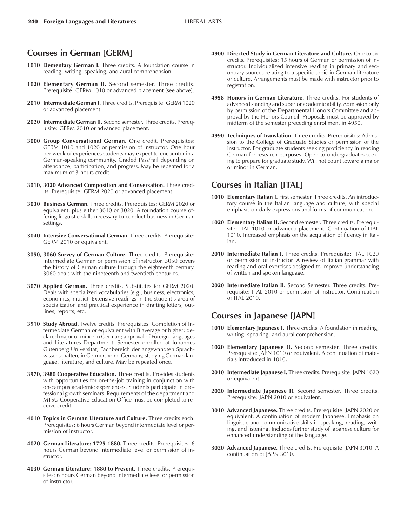## **Courses in German [GERM]**

- **1010 Elementary German I.** Three credits. A foundation course in reading, writing, speaking, and aural comprehension.
- **1020 Elementary German II.** Second semester. Three credits. Prerequisite: GERM 1010 or advanced placement (see above).
- **2010 Intermediate German I.** Three credits. Prerequisite: GERM 1020 or advanced placement.
- **2020 Intermediate German II.** Second semester. Three credits. Prerequisite: GERM 2010 or advanced placement.
- **3000 Group Conversational German.** One credit. Prerequisites: GERM 1010 and 1020 or permission of instructor. One hour per week of experiences students may expect to encounter in a German-speaking community. Graded Pass/Fail depending on attendance, participation, and progress. May be repeated for a maximum of 3 hours credit.
- **3010, 3020 Advanced Composition and Conversation.** Three credits. Prerequisite: GERM 2020 or advanced placement.
- **3030 Business German.** Three credits. Prerequisites: GERM 2020 or equivalent, plus either 3010 or 3020. A foundation course offering linguistic skills necessary to conduct business in German settings.
- **3040 Intensive Conversational German.** Three credits. Prerequisite: GERM 2010 or equivalent.
- **3050, 3060 Survey of German Culture.** Three credits. Prerequisite: Intermediate German or permission of instructor. 3050 covers the history of German culture through the eighteenth century. 3060 deals with the nineteenth and twentieth centuries.
- **3070 Applied German.** Three credits. Substitutes for GERM 2020. Deals with specialized vocabularies (e.g., business, electronics, economics, music). Extensive readings in the student's area of specialization and practical experience in drafting letters, outlines, reports, etc.
- **3910 Study Abroad.** Twelve credits. Prerequisites: Completion of Intermediate German or equivalent with B average or higher; declared major or minor in German; approval of Foreign Languages and Literatures Department. Semester enrolled at Johannes Gutenberg Universitat, Fachbereich der angewandten Sprachwissenschaften, in Germersheim, Germany, studying German language, literature, and culture. May be repeated once.
- **3970, 3980 Cooperative Education.** Three credits. Provides students with opportunities for on-the-job training in conjunction with on-campus academic experiences. Students participate in professional growth seminars. Requirements of the department and MTSU Cooperative Education Office must be completed to receive credit.
- **4010 Topics in German Literature and Culture.** Three credits each. Prerequisites: 6 hours German beyond intermediate level or permission of instructor.
- **4020 German Literature: 1725-1880.** Three credits. Prerequisites: 6 hours German beyond intermediate level or permission of instructor.
- **4030 German Literature: 1880 to Present.** Three credits. Prerequisites: 6 hours German beyond intermediate level or permission of instructor.
- **4900 Directed Study in German Literature and Culture.** One to six credits. Prerequisites: 15 hours of German or permission of instructor. Individualized intensive reading in primary and secondary sources relating to a specific topic in German literature or culture. Arrangements must be made with instructor prior to registration.
- **4958 Honors in German Literature.** Three credits. For students of advanced standing and superior academic ability. Admission only by permission of the Departmental Honors Committee and approval by the Honors Council. Proposals must be approved by midterm of the semester preceding enrollment in 4950.
- **4990 Techniques of Translation.** Three credits. Prerequisites: Admission to the College of Graduate Studies or permission of the instructor. For graduate students seeking proficiency in reading German for research purposes. Open to undergraduates seeking to prepare for graduate study. Will not count toward a major or minor in German.

#### **Courses in Italian [ITAL]**

- **1010 Elementary Italian I.** First semester. Three credits. An introductory course in the Italian language and culture, with special emphasis on daily expressions and forms of communication.
- **1020 Elementary Italian II.** Second semester. Three credits. Prerequisite: ITAL 1010 or advanced placement. Continuation of ITAL 1010. Increased emphasis on the acquisition of fluency in Italian.
- **2010 Intermediate Italian I.** Three credits. Prerequisite: ITAL 1020 or permission of instructor. A review of Italian grammar with reading and oral exercises designed to improve understanding of written and spoken language.
- **2020 Intermediate Italian II.** Second Semester. Three credits. Prerequisite: ITAL 2010 or permission of instructor. Continuation of ITAL 2010.

#### **Courses in Japanese [JAPN]**

- **1010 Elementary Japanese I.** Three credits. A foundation in reading, writing, speaking, and aural comprehension.
- **1020 Elementary Japanese II.** Second semester. Three credits. Prerequisite: JAPN 1010 or equivalent. A continuation of materials introduced in 1010.
- **2010 Intermediate Japanese I.** Three credits. Prerequisite: JAPN 1020 or equivalent.
- **2020 Intermediate Japanese II.** Second semester. Three credits. Prerequisite: JAPN 2010 or equivalent.
- **3010 Advanced Japanese.** Three credits. Prerequisite: JAPN 2020 or equivalent. A continuation of modern Japanese. Emphasis on linguistic and communicative skills in speaking, reading, writing, and listening. Includes further study of Japanese culture for enhanced understanding of the language.
- **3020 Advanced Japanese.** Three credits. Prerequisite: JAPN 3010. A continuation of JAPN 3010.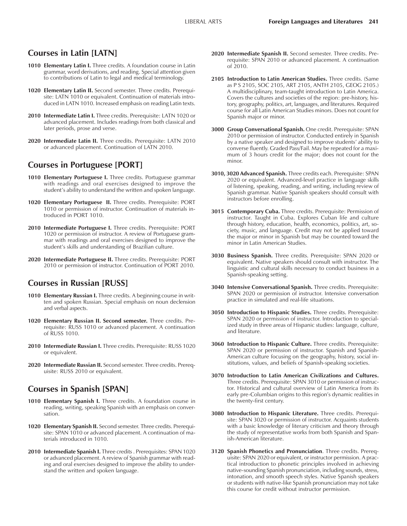### **Courses in Latin [LATN]**

- **1010 Elementary Latin I.** Three credits. A foundation course in Latin grammar, word derivations, and reading. Special attention given to contributions of Latin to legal and medical terminology.
- **1020 Elementary Latin II.** Second semester. Three credits. Prerequisite: LATN 1010 or equivalent. Continuation of materials introduced in LATN 1010. Increased emphasis on reading Latin texts.
- **2010 Intermediate Latin I.** Three credits. Prerequisite: LATN 1020 or advanced placement. Includes readings from both classical and later periods, prose and verse.
- **2020 Intermediate Latin II.** Three credits. Prerequisite: LATN 2010 or advanced placement. Continuation of LATN 2010.

## **Courses in Portuguese [PORT]**

- **1010 Elementary Portuguese I.** Three credits. Portuguese grammar with readings and oral exercises designed to improve the student's ability to understand the written and spoken language.
- **1020 Elementary Portuguese II.** Three credits. Prerequisite: PORT 1010 or permission of instructor. Continuation of materials introduced in PORT 1010.
- **2010 Intermediate Portuguese I.** Three credits. Prerequisite: PORT 1020 or permission of instructor. A review of Portuguese grammar with readings and oral exercises designed to improve the student's skills and understanding of Brazilian culture.
- **2020 Intermediate Portuguese II.** Three credits. Prerequisite: PORT 2010 or permission of instructor. Continuation of PORT 2010.

## **Courses in Russian [RUSS]**

- **1010 Elementary Russian I.** Three credits. A beginning course in written and spoken Russian. Special emphasis on noun declension and verbal aspects.
- **1020 Elementary Russian II. Second semester.** Three credits. Prerequisite: RUSS 1010 or advanced placement. A continuation of RUSS 1010.
- **2010 Intermediate Russian I.** Three credits. Prerequisite: RUSS 1020 or equivalent.
- **2020 Intermediate Russian II.** Second semester. Three credits. Prerequisite: RUSS 2010 or equivalent.

# **Courses in Spanish [SPAN]**

- **1010 Elementary Spanish I.** Three credits. A foundation course in reading, writing, speaking Spanish with an emphasis on conversation.
- **1020 Elementary Spanish II.** Second semester. Three credits. Prerequisite: SPAN 1010 or advanced placement. A continuation of materials introduced in 1010.
- **2010 Intermediate Spanish I.** Three credits . Prerequisites: SPAN 1020 or advanced placement. A review of Spanish grammar with reading and oral exercises designed to improve the ability to understand the written and spoken language.
- **2020 Intermediate Spanish II.** Second semester. Three credits. Prerequisite: SPAN 2010 or advanced placement. A continuation of 2010.
- **2105 Introduction to Latin American Studies.** Three credits. (Same as P S 2105, SOC 2105, ART 2105, ANTH 2105, GEOG 2105.) A multidisciplinary, team-taught introduction to Latin America. Covers the cultures and societies of the region: pre-history, history, geography, politics, art, languages, and literatures. Required course for all Latin American Studies minors. Does not count for Spanish major or minor.
- **3000 Group Conversational Spanish.** One credit. Prerequisite: SPAN 2010 or permission of instructor. Conducted entirely in Spanish by a native speaker and designed to improve students' ability to converse fluently. Graded Pass/Fail. May be repeated for a maximum of 3 hours credit for the major; does not count for the minor.
- **3010, 3020 Advanced Spanish.** Three credits each. Prerequisite: SPAN 2020 or equivalent. Advanced-level practice in language skills of listening, speaking, reading, and writing, including review of Spanish grammar. Native Spanish speakers should consult with instructors before enrolling.
- **3015 Contemporary Cuba.** Three credits. Prerequisite: Permission of instructor. Taught in Cuba. Explores Cuban life and culture through history, education, health, economics, politics, art, society, music, and language. Credit may not be applied toward the major or minor in Spanish but may be counted toward the minor in Latin American Studies.
- **3030 Business Spanish.** Three credits. Prerequisite: SPAN 2020 or equivalent. Native speakers should consult with instructor. The linguistic and cultural skills necessary to conduct business in a Spanish-speaking setting.
- **3040 Intensive Conversational Spanish.** Three credits. Prerequisite: SPAN 2020 or permission of instructor. Intensive conversation practice in simulated and real-life situations.
- **3050 Introduction to Hispanic Studies.** Three credits. Prerequisite: SPAN 2020 or permission of instructor. Introduction to specialized study in three areas of Hispanic studies: language, culture, and literature.
- **3060 Introduction to Hispanic Culture.** Three credits. Prerequisite: SPAN 2020 or permission of instructor. Spanish and Spanish-American culture focusing on the geography, history, social institutions, values, and beliefs of Spanish-speaking societies.
- **3070 Introduction to Latin American Civilizations and Cultures.** Three credits. Prerequisite: SPAN 3010 or permission of instructor. Historical and cultural overview of Latin America from its early pre-Columbian origins to this region's dynamic realities in the twenty-first century.
- **3080 Introduction to Hispanic Literature.** Three credits. Prerequisite: SPAN 3020 or permission of instructor. Acquaints students with a basic knowledge of literary criticism and theory through the study of representative works from both Spanish and Spanish-American literature.
- **3120 Spanish Phonetics and Pronunciation**. Three credits. Prerequisite: SPAN 2020 or equivalent, or instructor permission. A practical introduction to phonetic principles involved in achieving native-sounding Spanish pronunciation, including sounds, stress, intonation, and smooth speech styles. Native Spanish speakers or students with native-like Spanish pronunciation may not take this course for credit without instructor permission.